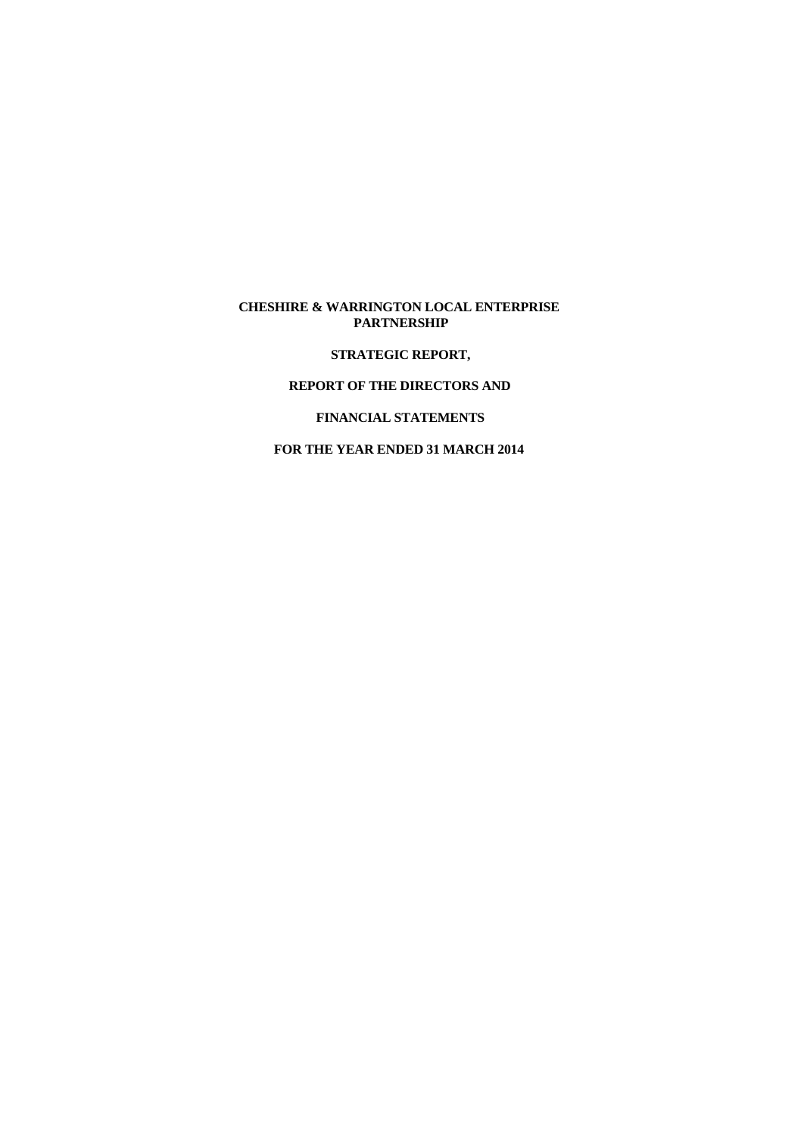### **CHESHIRE & WARRINGTON LOCAL ENTERPRISE PARTNERSHIP**

**STRATEGIC REPORT,**

### **REPORT OF THE DIRECTORS AND**

## **FINANCIAL STATEMENTS**

# **FOR THE YEAR ENDED 31 MARCH 2014**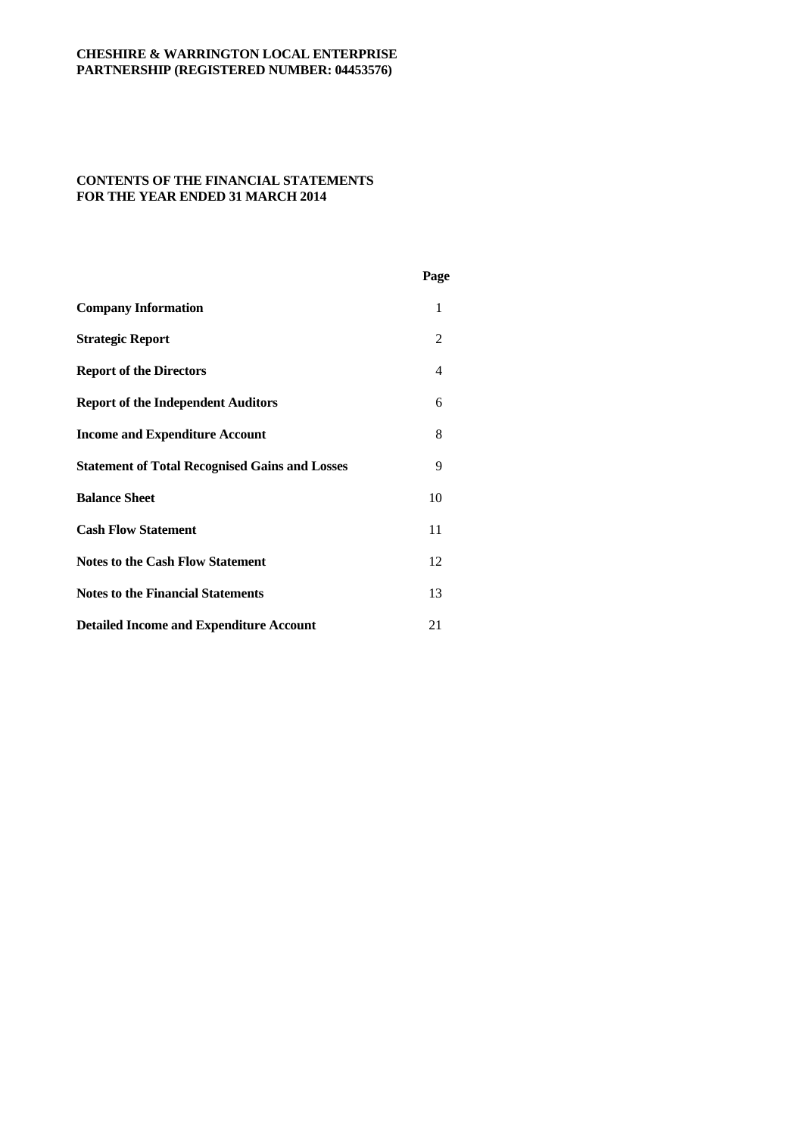# **CONTENTS OF THE FINANCIAL STATEMENTS FOR THE YEAR ENDED 31 MARCH 2014**

|                                                       | Page          |  |
|-------------------------------------------------------|---------------|--|
| <b>Company Information</b>                            | 1             |  |
| <b>Strategic Report</b>                               | $\mathcal{L}$ |  |
| <b>Report of the Directors</b>                        | 4             |  |
| <b>Report of the Independent Auditors</b>             | 6             |  |
| <b>Income and Expenditure Account</b>                 | 8             |  |
| <b>Statement of Total Recognised Gains and Losses</b> | 9             |  |
| <b>Balance Sheet</b>                                  | 10            |  |
| <b>Cash Flow Statement</b>                            | 11            |  |
| <b>Notes to the Cash Flow Statement</b>               | 12            |  |
| <b>Notes to the Financial Statements</b>              | 13            |  |
| <b>Detailed Income and Expenditure Account</b>        | 21            |  |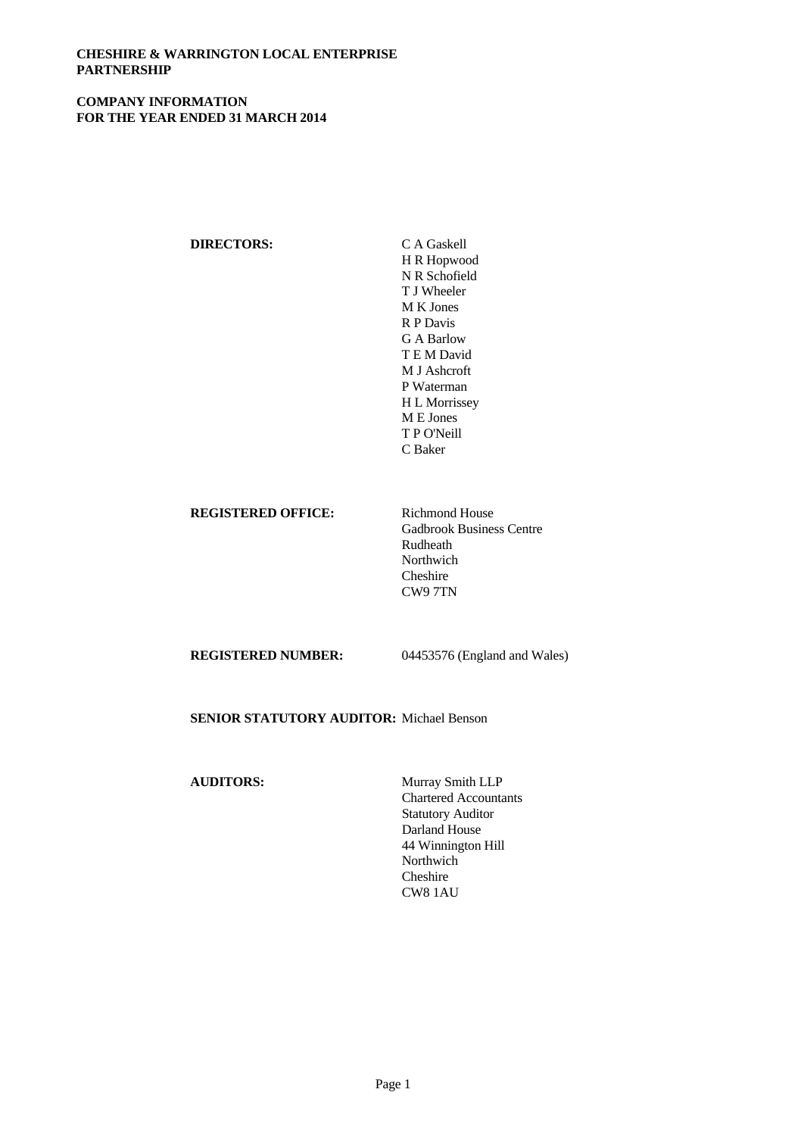## **CHESHIRE & WARRINGTON LOCAL ENTERPRISE PARTNERSHIP**

## **COMPANY INFORMATION FOR THE YEAR ENDED 31 MARCH 2014**

# **DIRECTORS:** C A Gaskell

H R Hopwood N R Schofield T J Wheeler M K Jones R P Davis G A Barlow T E M David M J Ashcroft P Waterman H L Morrissey M E Jones T P O'Neill C Baker

# **REGISTERED OFFICE:** Richmond House

Gadbrook Business Centre Rudheath Northwich Cheshire CW9 7TN

**REGISTERED NUMBER:** 04453576 (England and Wales)

**SENIOR STATUTORY AUDITOR:** Michael Benson

**AUDITORS:** Murray Smith LLP

Chartered Accountants Statutory Auditor Darland House 44 Winnington Hill Northwich Cheshire CW8 1AU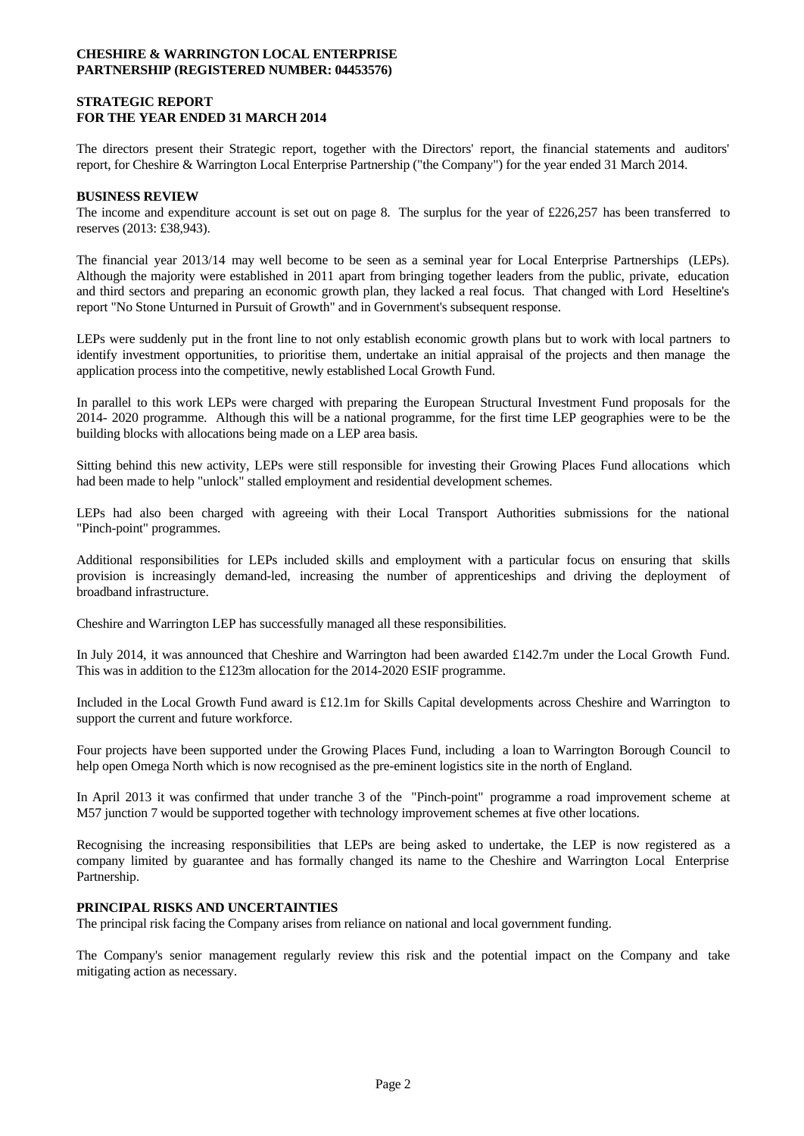## **STRATEGIC REPORT FOR THE YEAR ENDED 31 MARCH 2014**

The directors present their Strategic report, together with the Directors' report, the financial statements and auditors' report, for Cheshire & Warrington Local Enterprise Partnership ("the Company") for the year ended 31 March 2014.

### **BUSINESS REVIEW**

The income and expenditure account is set out on page 8. The surplus for the year of £226,257 has been transferred to reserves (2013: £38,943).

The financial year 2013/14 may well become to be seen as a seminal year for Local Enterprise Partnerships (LEPs). Although the majority were established in 2011 apart from bringing together leaders from the public, private, education and third sectors and preparing an economic growth plan, they lacked a real focus. That changed with Lord Heseltine's report "No Stone Unturned in Pursuit of Growth" and in Government's subsequent response.

LEPs were suddenly put in the front line to not only establish economic growth plans but to work with local partners to identify investment opportunities, to prioritise them, undertake an initial appraisal of the projects and then manage the application process into the competitive, newly established Local Growth Fund.

In parallel to this work LEPs were charged with preparing the European Structural Investment Fund proposals for the 2014- 2020 programme. Although this will be a national programme, for the first time LEP geographies were to be the building blocks with allocations being made on a LEP area basis.

Sitting behind this new activity, LEPs were still responsible for investing their Growing Places Fund allocations which had been made to help "unlock" stalled employment and residential development schemes.

LEPs had also been charged with agreeing with their Local Transport Authorities submissions for the national "Pinch-point" programmes.

Additional responsibilities for LEPs included skills and employment with a particular focus on ensuring that skills provision is increasingly demand-led, increasing the number of apprenticeships and driving the deployment of broadband infrastructure.

Cheshire and Warrington LEP has successfully managed all these responsibilities.

In July 2014, it was announced that Cheshire and Warrington had been awarded £142.7m under the Local Growth Fund. This was in addition to the £123m allocation for the 2014-2020 ESIF programme.

Included in the Local Growth Fund award is £12.1m for Skills Capital developments across Cheshire and Warrington to support the current and future workforce.

Four projects have been supported under the Growing Places Fund,including aloan to Warrington Borough Council to help open Omega North which is now recognised as the pre-eminent logistics site in the north of England.

In April 2013 it was confirmed that under tranche 3 of the "Pinch-point" programme a road improvement scheme at M57 junction 7 would be supported together with technology improvement schemes at five other locations.

Recognising the increasing responsibilities that LEPs are being asked to undertake, the LEP is now registered as a company limited by guarantee and has formally changed its name to the Cheshire and Warrington Local Enterprise Partnership.

### **PRINCIPAL RISKS AND UNCERTAINTIES**

The principal risk facing the Company arises from reliance on national and local government funding.

The Company's senior management regularly review this risk and the potential impact on the Company and take mitigating action as necessary.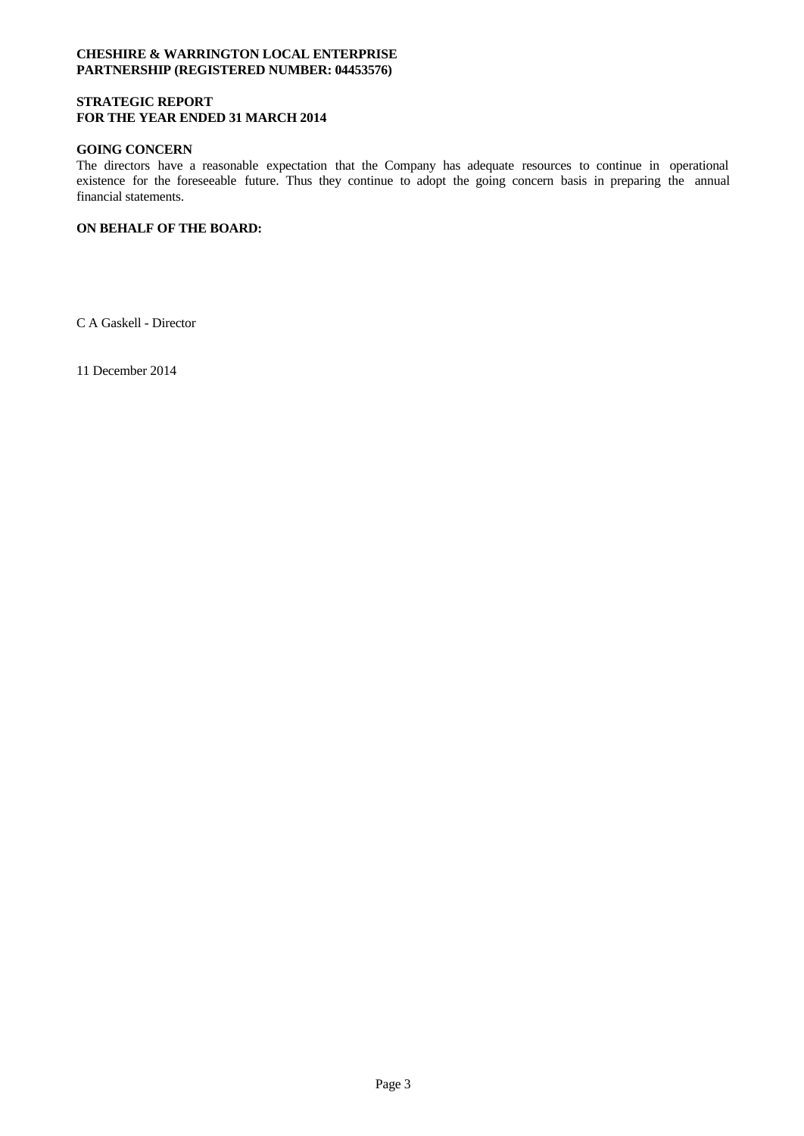## **STRATEGIC REPORT FOR THE YEAR ENDED 31 MARCH 2014**

## **GOING CONCERN**

The directors have a reasonable expectation that the Company has adequate resources to continue in operational existence for the foreseeable future. Thus they continue to adopt the going concern basis in preparing the annual financial statements.

# **ON BEHALF OF THE BOARD:**

C A Gaskell - Director

11 December 2014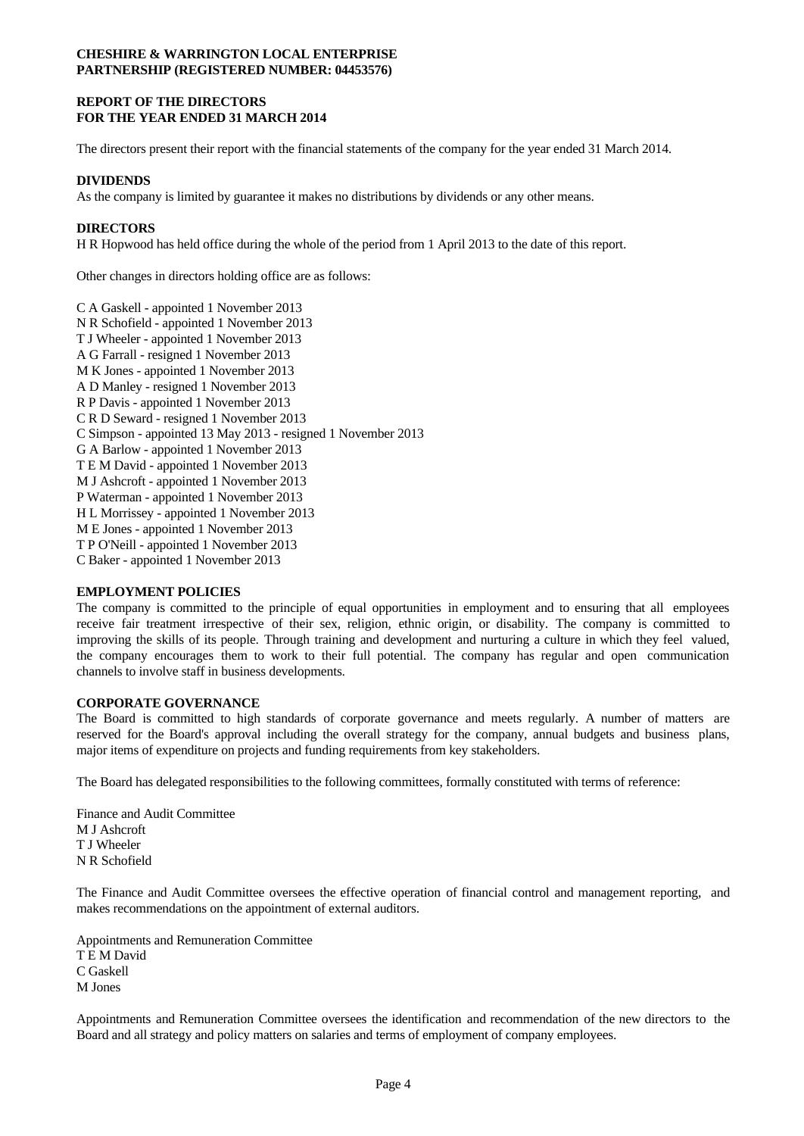## **REPORT OF THE DIRECTORS FOR THE YEAR ENDED 31 MARCH 2014**

The directors present their report with the financial statements of the company for the year ended 31 March 2014.

### **DIVIDENDS**

As the company is limited by guarantee it makes no distributions by dividends or any other means.

## **DIRECTORS**

H R Hopwood has held office during the whole of the period from 1 April 2013 to the date of this report.

Other changes in directors holding office are as follows:

C A Gaskell - appointed 1 November 2013 N R Schofield - appointed 1 November 2013 T J Wheeler - appointed 1 November 2013 A G Farrall - resigned 1 November 2013 M K Jones - appointed 1 November 2013 A D Manley - resigned 1 November 2013 R P Davis - appointed 1 November 2013 C R D Seward - resigned 1 November 2013 C Simpson - appointed 13 May 2013 - resigned 1 November 2013 G A Barlow - appointed 1 November 2013 T E M David - appointed 1 November 2013 M J Ashcroft - appointed 1 November 2013 P Waterman - appointed 1 November 2013 H L Morrissey - appointed 1 November 2013 M E Jones - appointed 1 November 2013 T P O'Neill - appointed 1 November 2013 C Baker - appointed 1 November 2013

### **EMPLOYMENT POLICIES**

The company is committed to the principle of equal opportunities in employment and to ensuring that all employees receive fair treatment irrespective of their sex, religion, ethnic origin, or disability. The company is committed to improving the skills of its people. Through training and development and nurturing a culture in which they feel valued, the company encourages them to work to their full potential. The company has regular and open communication channels to involve staff in business developments.

### **CORPORATE GOVERNANCE**

The Board is committed to high standards of corporate governance and meets regularly. A number of matters are reserved for the Board's approval including the overall strategy for the company, annual budgets and business plans, major items of expenditure on projects and funding requirements from key stakeholders.

The Board has delegated responsibilities to the following committees, formally constituted with terms of reference:

Finance and Audit Committee M J Ashcroft T J Wheeler N R Schofield

The Finance and Audit Committee oversees the effective operation of financial control and management reporting, and makes recommendations on the appointment of external auditors.

Appointments and Remuneration Committee T E M David C Gaskell M Jones

Appointments and Remuneration Committee oversees the identification and recommendation of the new directors to the Board and all strategy and policy matters on salaries and terms of employment of company employees.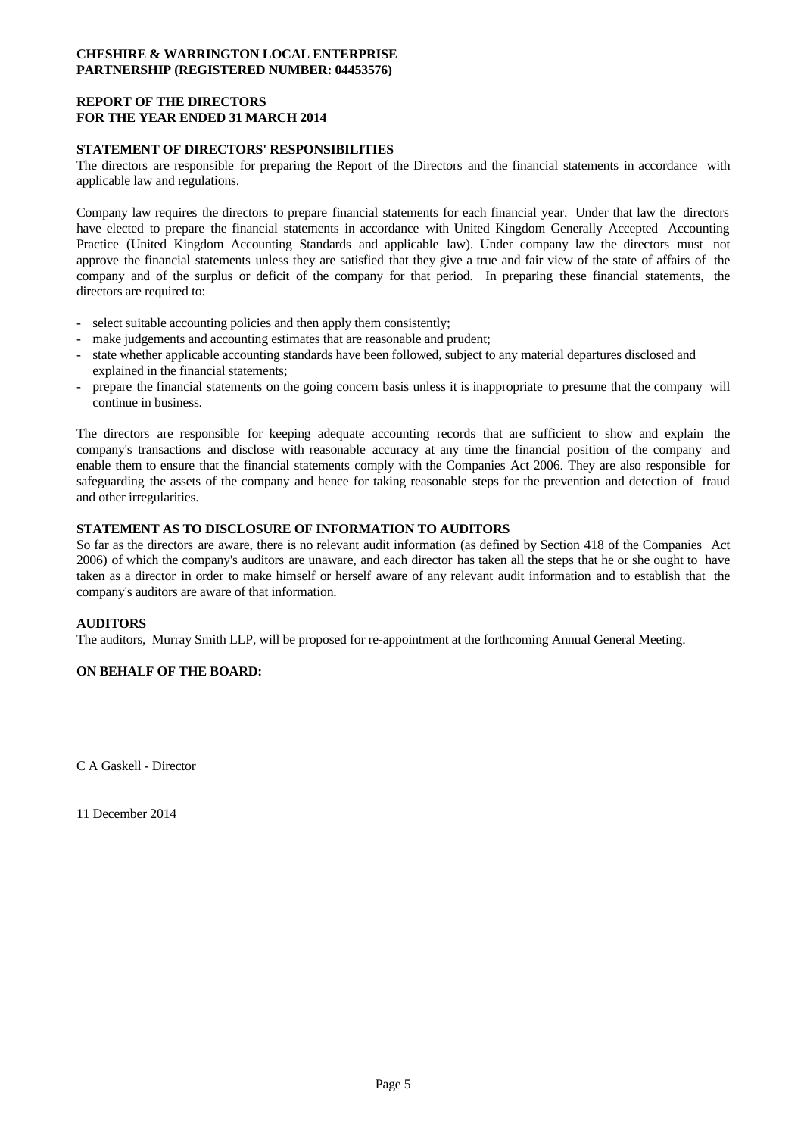### **REPORT OF THE DIRECTORS FOR THE YEAR ENDED 31 MARCH 2014**

### **STATEMENT OF DIRECTORS' RESPONSIBILITIES**

The directors are responsible for preparing the Report of the Directors and the financial statements in accordance with applicable law and regulations.

Company law requires the directors to prepare financial statements for each financial year. Under that law the directors have elected to prepare the financial statements in accordance with United Kingdom Generally Accepted Accounting Practice (United Kingdom Accounting Standards and applicable law). Under company law the directors must not approve the financial statements unless they are satisfied that they give a true and fair view of the state of affairs of the company and of the surplus or deficit of the company for that period. In preparing these financial statements, the

- 
- 
- directors are required to:<br>
select suitable accounting policies and then apply them consistently;<br>
make judgements and accounting estimates that are reasonable and prudent;<br>
state whether applicable accounting standa
- explained in the financial statements;<br>prepare the financial statements on the going concern basis unless it is inappropriate to presume that the company will continue in business.

The directors are responsible for keeping adequate accounting records that are sufficient to show and explain the company's transactions and disclose with reasonable accuracy at any time the financial position of the company and enable them to ensure that the financial statements comply with the Companies Act 2006. They are also responsible for safeguarding the assets of the company and hence for taking reasonable steps for the prevention and detection of fraud and other irregularities.

### **STATEMENT AS TO DISCLOSURE OF INFORMATION TO AUDITORS**

So far as the directors are aware, there is no relevant audit information (as defined by Section 418 of the Companies Act 2006) of which the company's auditors are unaware, and each director has taken all the steps that he or she ought to have taken as a director in order to make himself or herself aware of any relevant audit information and to establish that the company's auditors are aware of that information.

### **AUDITORS**

The auditors, Murray Smith LLP, will be proposed for re-appointment at the forthcoming Annual General Meeting.

### **ON BEHALF OF THE BOARD:**

C A Gaskell - Director

11 December 2014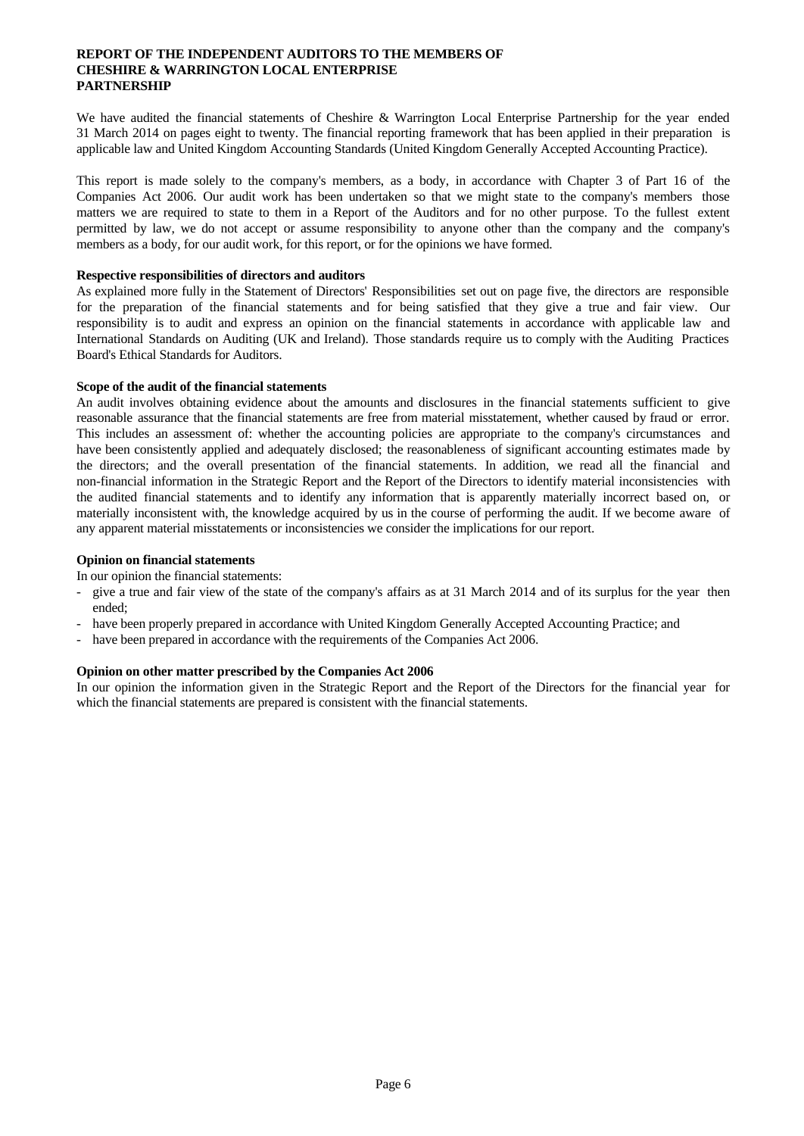### **REPORT OF THE INDEPENDENT AUDITORS TO THE MEMBERS OF CHESHIRE & WARRINGTON LOCAL ENTERPRISE PARTNERSHIP**

We have audited the financial statements of Cheshire & Warrington Local Enterprise Partnership for the year ended 31 March 2014 on pages eight to twenty. The financial reporting framework that has been applied in their preparation is applicable law and United Kingdom Accounting Standards (United Kingdom Generally Accepted Accounting Practice).

This report is made solely to the company's members, as a body, in accordance with Chapter 3 of Part 16 of the Companies Act 2006. Our audit work has been undertaken so that we might state to the company's members those matters we are required to state to them in a Report of the Auditors and for no other purpose. To the fullest extent permitted by law, we do notaccept or assume responsibility to anyone other than the company and the company's members as a body, for our audit work, for this report, or for the opinions we have formed.

### **Respective responsibilities of directors and auditors**

As explained more fully in the Statement of Directors' Responsibilities set out on page five, the directors are responsible for the preparation of the financial statements and for being satisfied that they give a true and fair view. Our responsibility is to audit and express an opinion on the financial statements in accordance with applicable law and International Standards on Auditing (UK and Ireland). Those standards require us to comply with the Auditing Practices Board's Ethical Standards for Auditors.

### **Scope of the audit of the financial statements**

An audit involves obtaining evidence about the amounts and disclosures in the financial statements sufficient to give reasonable assurance that the financial statements are free from material misstatement, whether caused by fraud or error. This includes an assessment of: whether the accounting policies are appropriate to the company's circumstances and have been consistently applied and adequately disclosed; the reasonableness of significant accounting estimates made by the directors; and the overall presentation of the financial statements. In addition, we read all the financial and non-financial information in the Strategic Report and the Report of the Directors to identify material inconsistencies with the audited financial statements and to identify any information that is apparently materially incorrect based on, or materially inconsistent with, the knowledge acquired by us in the course of performing the audit. If we become aware of any apparent material misstatements or inconsistencies we consider the implications for our report.

### **Opinion on financial statements**

- In our opinion the financial statements:<br>- give a true and fair view of the state of the company's affairs as at 31 March 2014 and of its surplus for the year then
- ended;<br>- have been properly prepared in accordance with United Kingdom Generally Accepted Accounting Practice; and<br>- have been prepared in accordance with the requirements of the Companies Act 2006.
- 

### **Opinion on other matter prescribed by the Companies Act 2006**

In our opinion the information given in the Strategic Report and the Report of the Directors for the financial year for which the financial statements are prepared is consistent with the financial statements.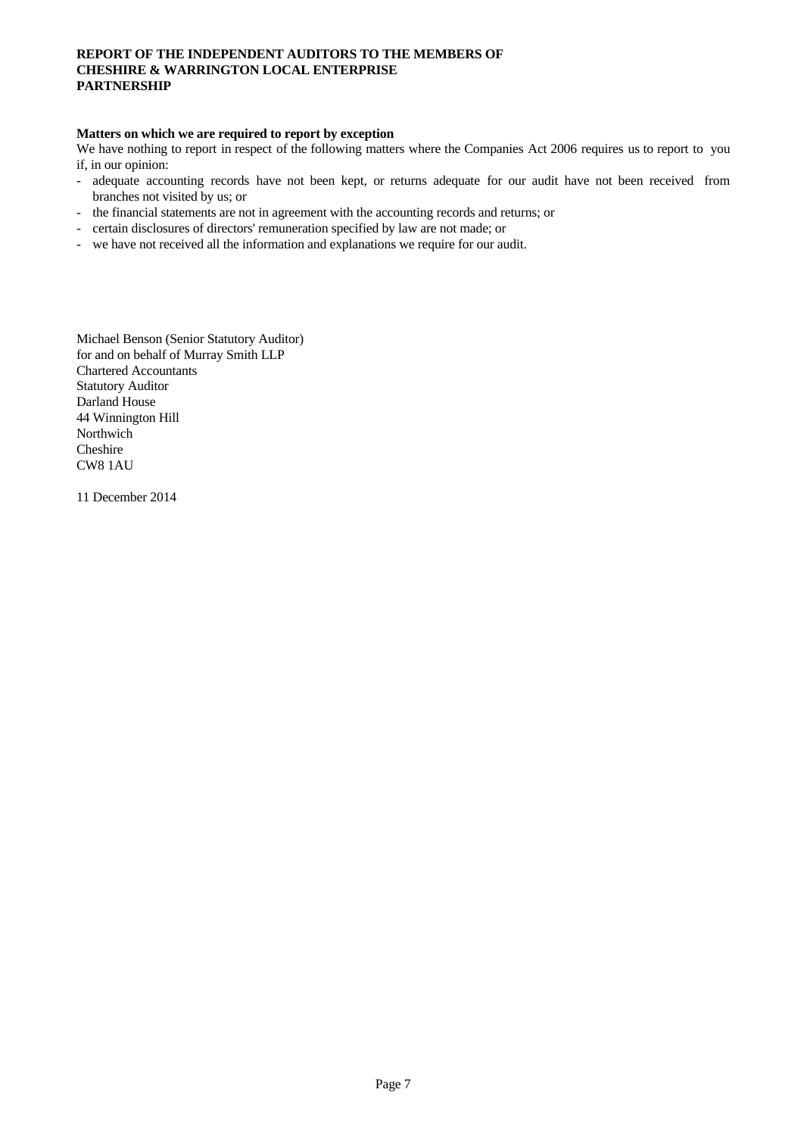## **REPORT OF THE INDEPENDENT AUDITORS TO THE MEMBERS OF CHESHIRE & WARRINGTON LOCAL ENTERPRISE PARTNERSHIP**

### **Matters on which we are required to report by exception**

We have nothing to report in respect of the following matters where the Companies Act 2006 requires us to report to you

- if, in our opinion:<br>- adequate accounting records have not been kept, or returns adequate for our audit have not been received from
- branches not visited by us; or<br>the financial statements are not in agreement with the accounting records and returns; or<br>ertain disclosures of directors' remuneration specified by law are not made; or<br>we have not received
- 
- 

Michael Benson (Senior Statutory Auditor) for and on behalf of Murray Smith LLP Chartered Accountants Statutory Auditor Darland House 44 Winnington Hill **Northwich** Cheshire CW8 1AU

11 December 2014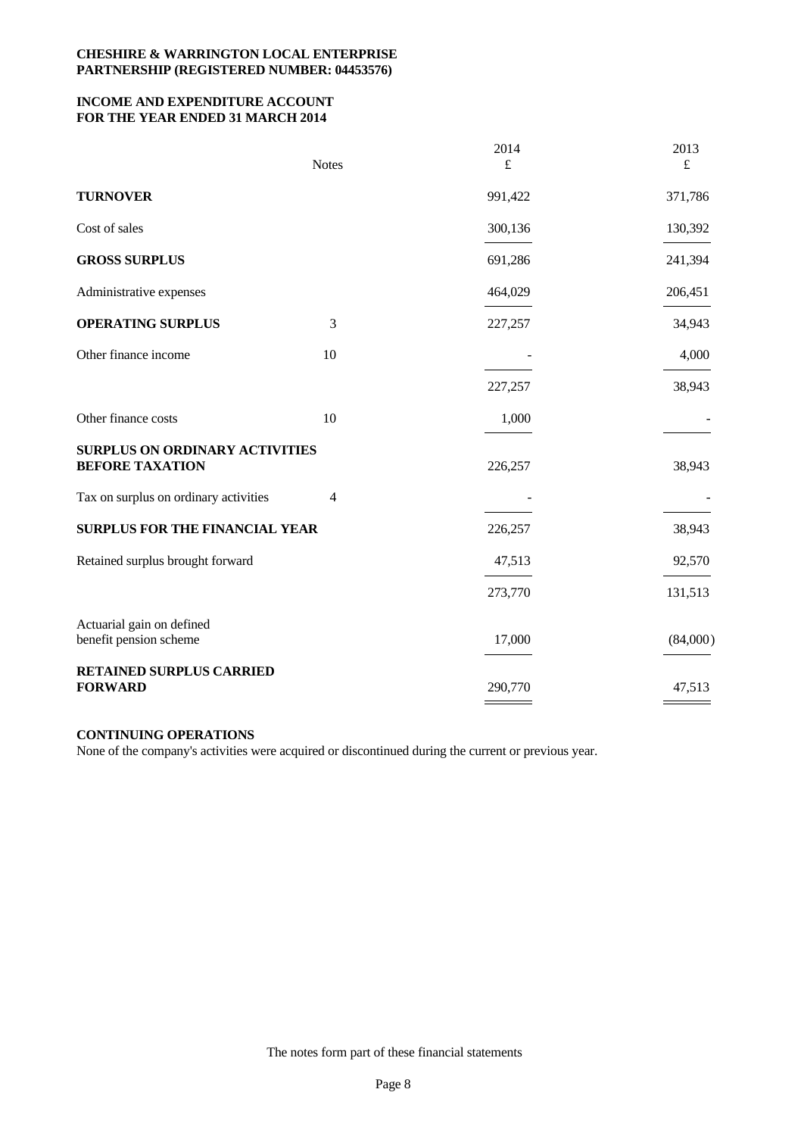# **INCOME AND EXPENDITURE ACCOUNT FOR THE YEAR ENDED 31 MARCH 2014**

|                                                                 |              | 2014      | 2013      |
|-----------------------------------------------------------------|--------------|-----------|-----------|
|                                                                 | <b>Notes</b> | $\pounds$ | $\pounds$ |
| <b>TURNOVER</b>                                                 |              | 991,422   | 371,786   |
| Cost of sales                                                   |              | 300,136   | 130,392   |
| <b>GROSS SURPLUS</b>                                            |              | 691,286   | 241,394   |
| Administrative expenses                                         |              | 464,029   | 206,451   |
| <b>OPERATING SURPLUS</b>                                        | 3            | 227,257   | 34,943    |
| Other finance income                                            | 10           |           | 4,000     |
|                                                                 |              | 227,257   | 38,943    |
| Other finance costs                                             | 10           | 1,000     |           |
| <b>SURPLUS ON ORDINARY ACTIVITIES</b><br><b>BEFORE TAXATION</b> |              | 226,257   | 38,943    |
| Tax on surplus on ordinary activities                           | 4            |           |           |
| <b>SURPLUS FOR THE FINANCIAL YEAR</b>                           |              | 226,257   | 38,943    |
| Retained surplus brought forward                                |              | 47,513    | 92,570    |
|                                                                 |              | 273,770   | 131,513   |
| Actuarial gain on defined<br>benefit pension scheme             |              | 17,000    | (84,000)  |
| RETAINED SURPLUS CARRIED<br><b>FORWARD</b>                      |              | 290,770   | 47,513    |
|                                                                 |              |           |           |

## **CONTINUING OPERATIONS**

None of the company's activities were acquired or discontinued during the current or previous year.

The notes form part of these financial statements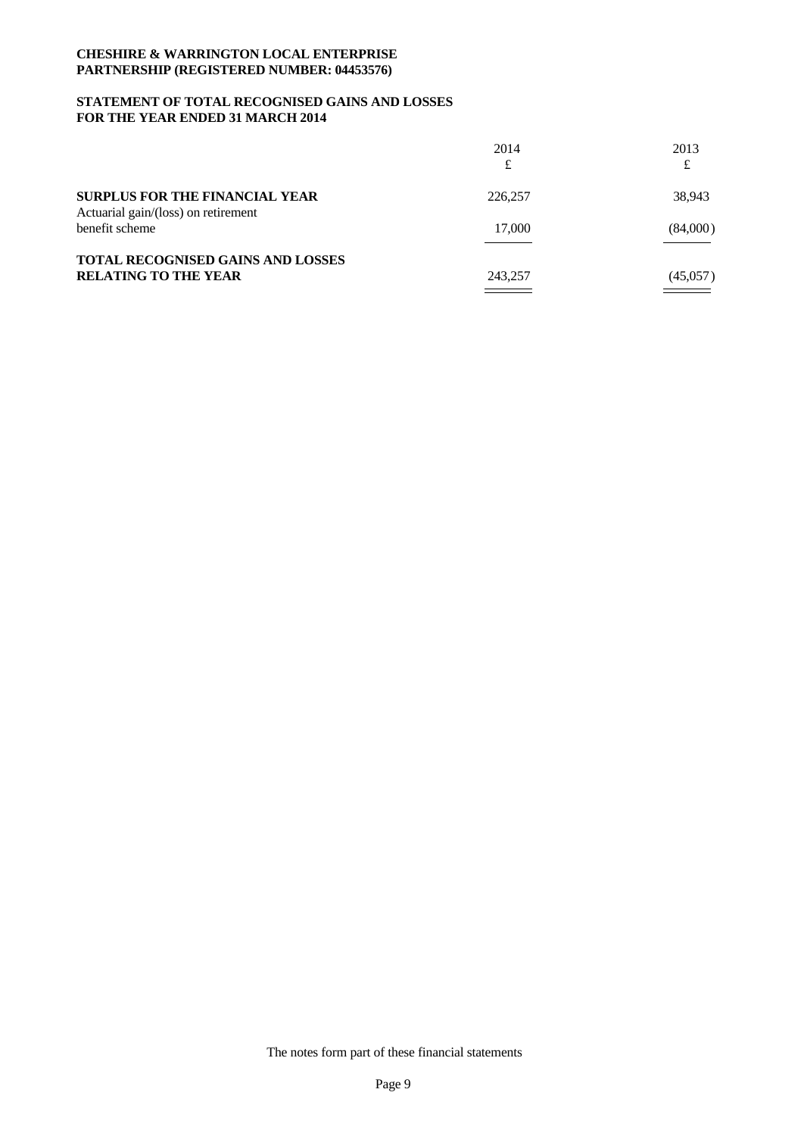## **STATEMENT OF TOTAL RECOGNISED GAINS AND LOSSES FOR THE YEAR ENDED 31 MARCH 2014**

|                                                                              | 2014<br>£         | 2013<br>£         |
|------------------------------------------------------------------------------|-------------------|-------------------|
| <b>SURPLUS FOR THE FINANCIAL YEAR</b><br>Actuarial gain/(loss) on retirement | 226,257           | 38,943            |
| benefit scheme                                                               | 17,000            | (84,000)          |
| <b>TOTAL RECOGNISED GAINS AND LOSSES</b><br><b>RELATING TO THE YEAR</b>      | 243,257<br>______ | (45,057)<br>_____ |

The notes form part of these financial statements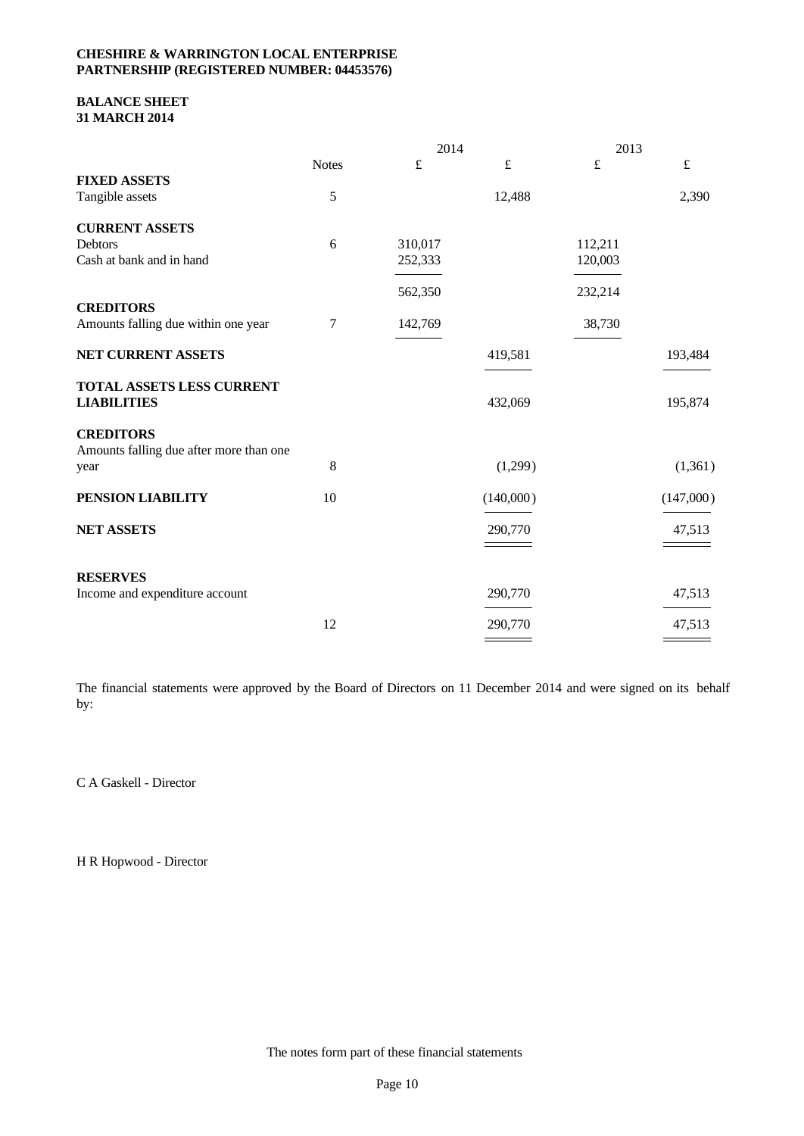## **BALANCE SHEET 31 MARCH 2014**

|                                         |              | 2014      |           | 2013      |           |
|-----------------------------------------|--------------|-----------|-----------|-----------|-----------|
|                                         | <b>Notes</b> | $\pounds$ | $\pounds$ | $\pounds$ | $\pounds$ |
| <b>FIXED ASSETS</b>                     |              |           |           |           |           |
| Tangible assets                         | 5            |           | 12,488    |           | 2,390     |
| <b>CURRENT ASSETS</b>                   |              |           |           |           |           |
| Debtors                                 | 6            | 310,017   |           | 112,211   |           |
| Cash at bank and in hand                |              | 252,333   |           | 120,003   |           |
|                                         |              | 562,350   |           | 232,214   |           |
| <b>CREDITORS</b>                        |              |           |           |           |           |
| Amounts falling due within one year     | 7            | 142,769   |           | 38,730    |           |
| NET CURRENT ASSETS                      |              |           | 419,581   |           | 193,484   |
| TOTAL ASSETS LESS CURRENT               |              |           |           |           |           |
| <b>LIABILITIES</b>                      |              |           | 432,069   |           | 195,874   |
| <b>CREDITORS</b>                        |              |           |           |           |           |
| Amounts falling due after more than one |              |           |           |           |           |
| year                                    | $\,8\,$      |           | (1,299)   |           | (1,361)   |
| PENSION LIABILITY                       | 10           |           | (140,000) |           | (147,000) |
|                                         |              |           |           |           |           |
| NET ASSETS                              |              |           | 290,770   |           | 47,513    |
|                                         |              |           |           |           |           |
| <b>RESERVES</b>                         |              |           |           |           |           |
| Income and expenditure account          |              |           | 290,770   |           | 47,513    |
|                                         | 12           |           | 290,770   |           | 47,513    |
|                                         |              |           |           |           |           |

The financial statements were approved by the Board of Directors on 11 December 2014 and were signed on its behalf by:

C A Gaskell - Director

H R Hopwood - Director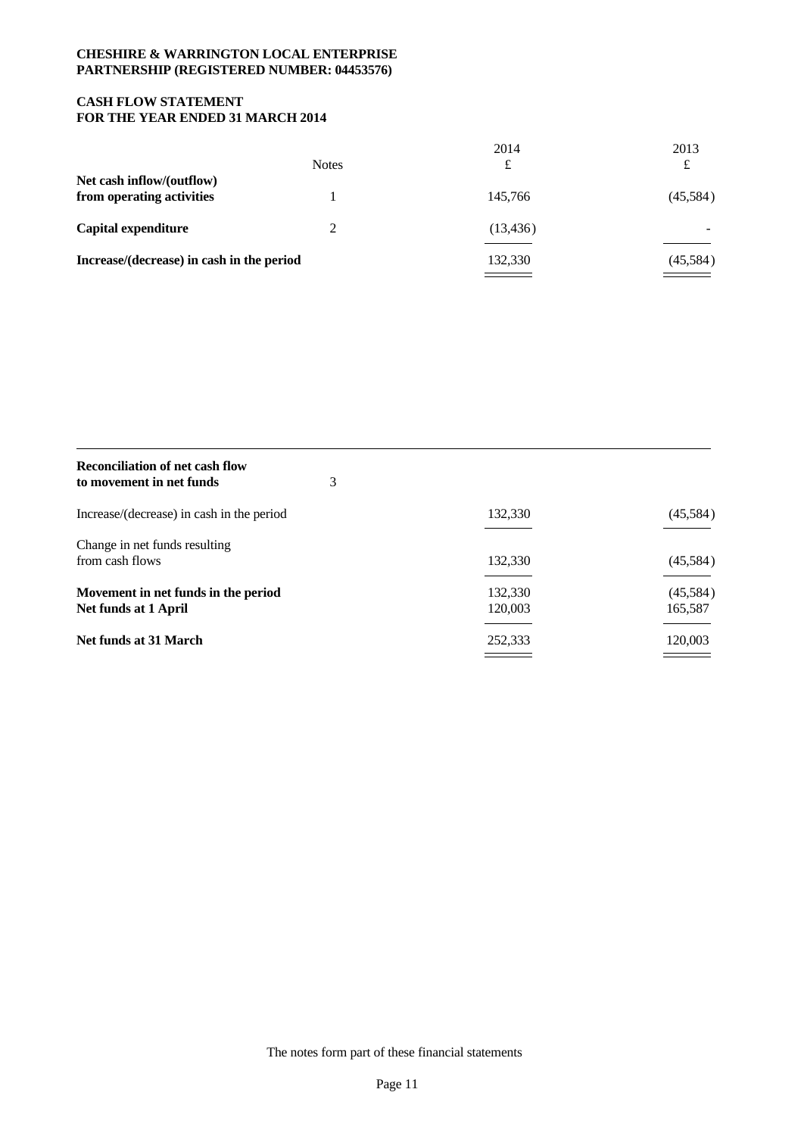# **CASH FLOW STATEMENT FOR THE YEAR ENDED 31 MARCH 2014**

|                                           | <b>Notes</b> | 2014<br>£ | 2013<br>£                |
|-------------------------------------------|--------------|-----------|--------------------------|
| Net cash inflow/(outflow)                 |              |           |                          |
| from operating activities                 |              | 145,766   | (45,584)                 |
| Capital expenditure                       | 2            | (13, 436) | $\overline{\phantom{0}}$ |
| Increase/(decrease) in cash in the period |              | 132,330   | (45,584)                 |
|                                           |              |           |                          |

| <b>Reconciliation of net cash flow</b><br>to movement in net funds | 3 |                    |                     |
|--------------------------------------------------------------------|---|--------------------|---------------------|
| Increase/(decrease) in cash in the period                          |   | 132,330            | (45,584)            |
| Change in net funds resulting<br>from cash flows                   |   | 132,330            | (45,584)            |
| Movement in net funds in the period<br>Net funds at 1 April        |   | 132,330<br>120,003 | (45,584)<br>165,587 |
| Net funds at 31 March                                              |   | 252,333            | 120,003             |

The notes form part of these financial statements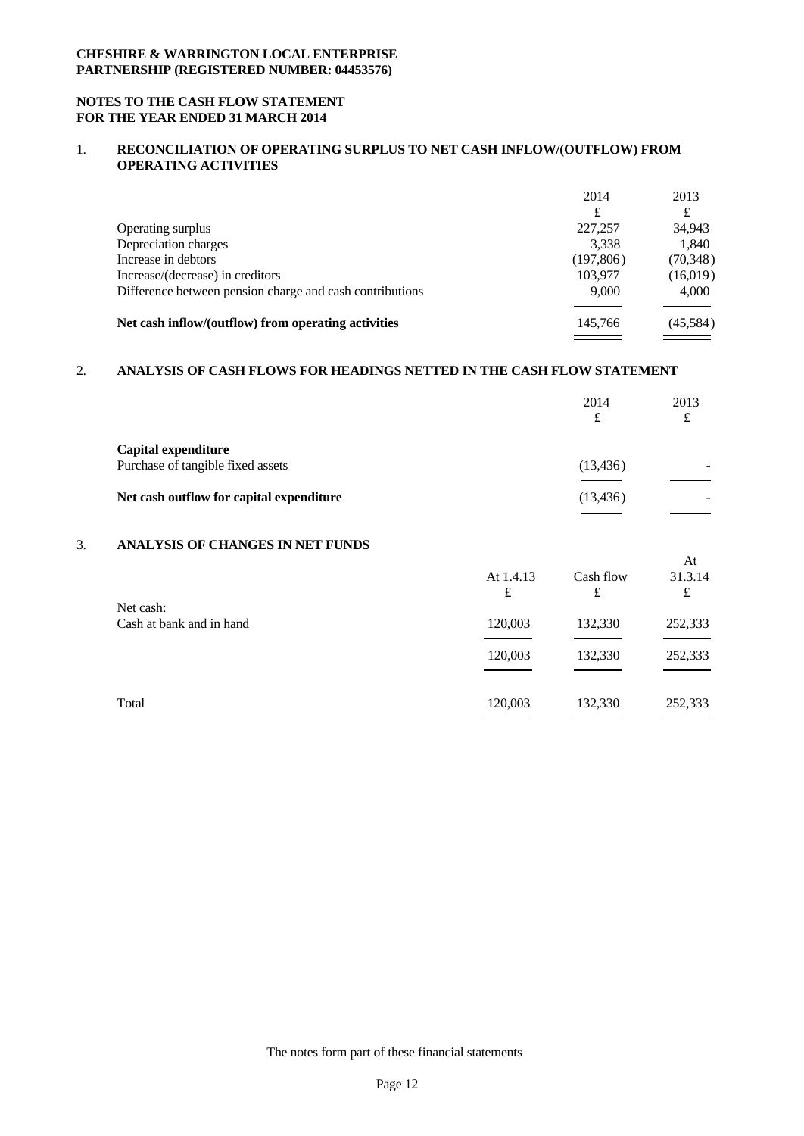## **NOTES TO THE CASH FLOW STATEMENT FOR THE YEAR ENDED 31 MARCH 2014**

### 1. **RECONCILIATION OF OPERATING SURPLUS TO NET CASH INFLOW/(OUTFLOW) FROM OPERATING ACTIVITIES**

|                                                          | 2014      | 2013      |  |
|----------------------------------------------------------|-----------|-----------|--|
|                                                          | £         | £         |  |
| Operating surplus                                        | 227,257   | 34.943    |  |
| Depreciation charges                                     | 3,338     | 1.840     |  |
| Increase in debtors                                      | (197,806) | (70, 348) |  |
| Increase/(decrease) in creditors                         | 103,977   | (16,019)  |  |
| Difference between pension charge and cash contributions | 9.000     | 4,000     |  |
|                                                          |           |           |  |
| Net cash inflow/(outflow) from operating activities      | 145.766   | (45,584)  |  |
|                                                          |           |           |  |

# 2. **ANALYSIS OF CASH FLOWS FOR HEADINGS NETTED IN THE CASH FLOW STATEMENT**

|    |                                          |           | 2014<br>£ | 2013<br>£                |  |
|----|------------------------------------------|-----------|-----------|--------------------------|--|
|    | Capital expenditure                      |           |           |                          |  |
|    | Purchase of tangible fixed assets        |           | (13, 436) | $\overline{\phantom{a}}$ |  |
|    | Net cash outflow for capital expenditure |           | (13, 436) | $\overline{\phantom{0}}$ |  |
| 3. | ANALYSIS OF CHANGES IN NET FUNDS         |           |           |                          |  |
|    |                                          | At 1.4.13 | Cash flow | At<br>31.3.14            |  |
|    |                                          | f         | f         | f                        |  |

|                                       | f<br>ىلە | ىم      | f<br>ىد |  |
|---------------------------------------|----------|---------|---------|--|
| Net cash:<br>Cash at bank and in hand | 120,003  | 132,330 | 252,333 |  |
|                                       | 120,003  | 132,330 | 252,333 |  |
| Total                                 | 120,003  | 132,330 | 252,333 |  |

The notes form part of these financial statements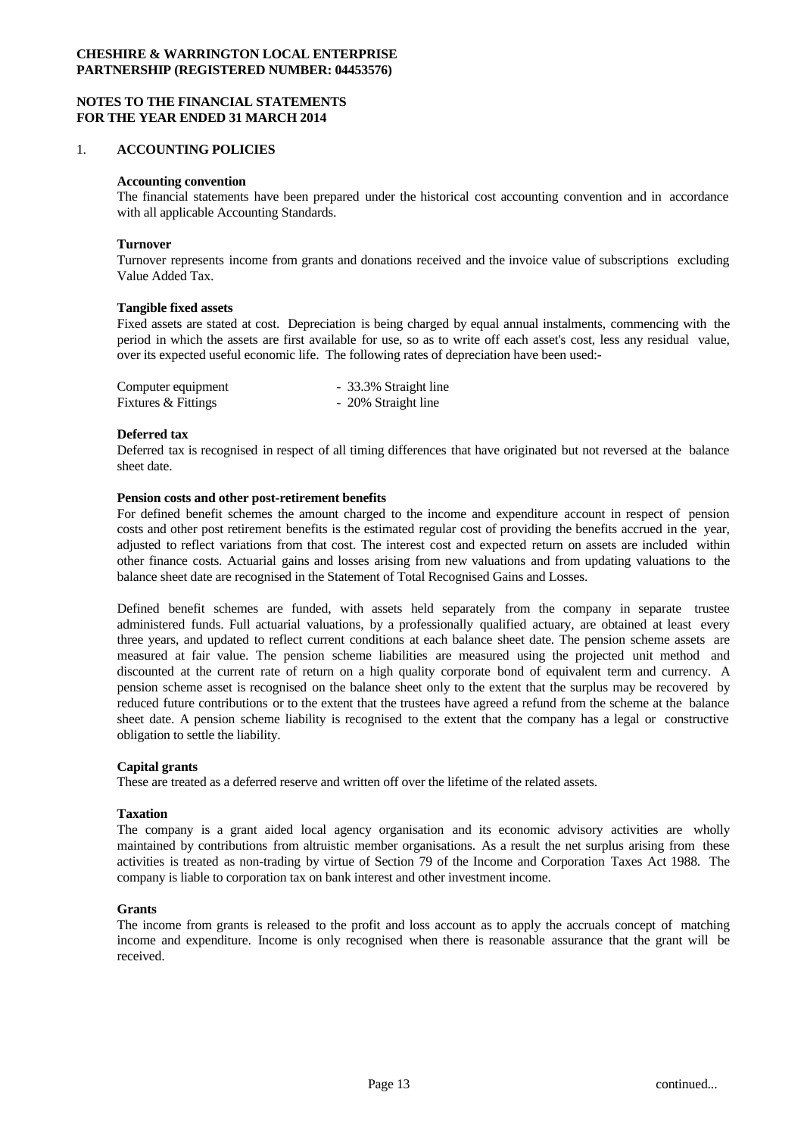### **NOTES TO THE FINANCIAL STATEMENTS FOR THE YEAR ENDED 31 MARCH 2014**

### 1. **ACCOUNTING POLICIES**

#### **Accounting convention**

The financial statements have been prepared under the historical cost accounting convention and in accordance with all applicable Accounting Standards.

### **Turnover**

Turnover represents income from grants and donations received and the invoice value of subscriptions excluding Value Added Tax.

### **Tangible fixed assets**

Fixed assets are stated at cost. Depreciation is being charged by equal annual instalments, commencing with the period in which the assets are first available for use, so as to write off each asset's cost, less any residual value, over its expected useful economic life. The following rates of depreciation have been used:-

| Computer equipment  | - 33.3% Straight line |
|---------------------|-----------------------|
| Fixtures & Fittings | - 20% Straight line   |

### **Deferred tax**

Deferred tax is recognised in respect of all timing differences that have originated but not reversed at the balance sheet date.

### **Pension costs and other post-retirement benefits**

For defined benefit schemes the amount charged to the income and expenditure account in respect of pension costs and other post retirement benefits is the estimated regular cost of providing the benefits accrued in the year, adjusted to reflect variations from that cost. The interest cost and expected return on assets are included within other finance costs. Actuarial gains and losses arising from new valuations and from updating valuations to the balance sheet date are recognised in the Statement of Total Recognised Gains and Losses.

Defined benefit schemes are funded, with assets held separately from the company in separate trustee administered funds. Full actuarial valuations, by a professionally qualified actuary, are obtained at least every three years, and updated to reflect current conditions at each balance sheet date. The pension scheme assets are measured at fair value. The pension scheme liabilities are measured using the projected unit method and discounted at the current rate of return on a high quality corporate bond of equivalent term and currency. A pension scheme asset is recognised on the balance sheet only to the extentthat the surplus may be recovered by reduced future contributions or to the extent that the trustees have agreed a refund from the scheme at the balance sheet date. A pension scheme liability is recognised to the extent that the company has a legal or constructive obligation to settle the liability.

### **Capital grants**

These are treated as a deferred reserve and written off over the lifetime of the related assets.

#### **Taxation**

The company is a grant aided local agency organisation and its economic advisory activities are wholly maintained by contributions from altruistic member organisations. As a result the net surplus arising from these activities is treated as non-trading by virtue of Section 79 of the Income and Corporation Taxes Act 1988. The company is liable to corporation tax on bank interest and other investment income.

#### **Grants**

The income from grants is released to the profit and loss account as to apply the accruals concept of matching income and expenditure. Income is only recognised when there is reasonable assurance that the grant will be received.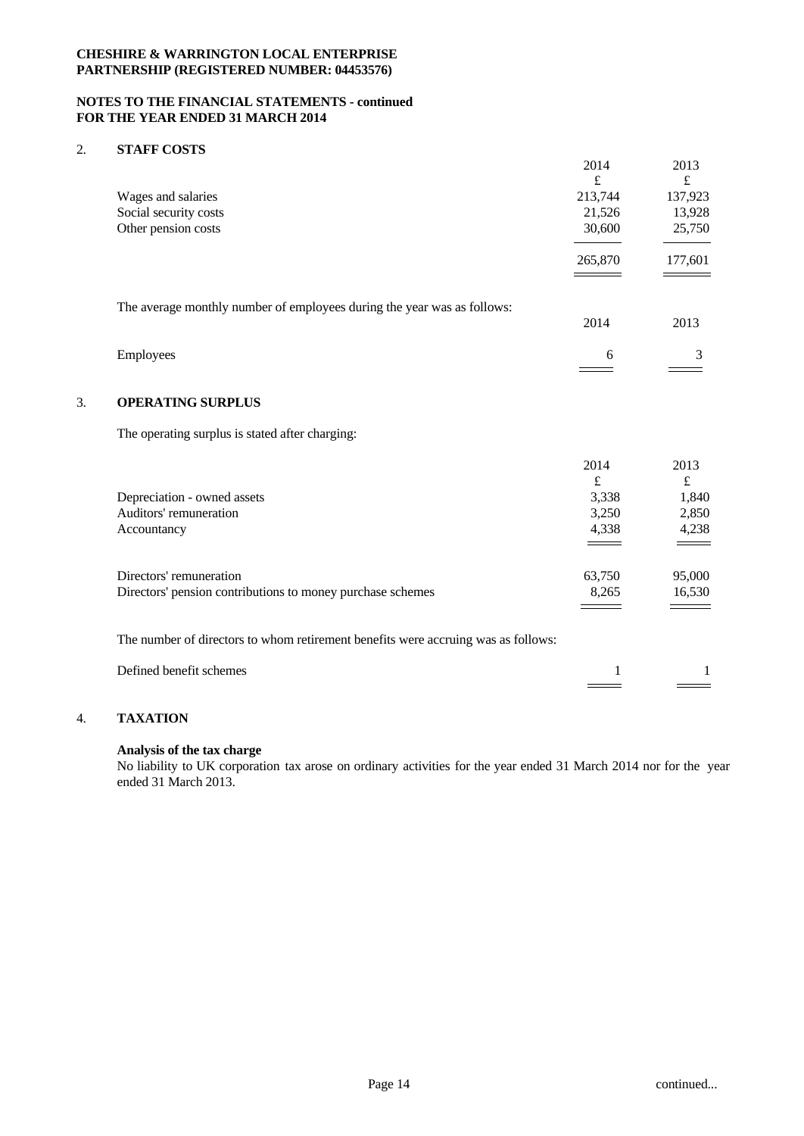### **NOTES TO THE FINANCIAL STATEMENTS - continued FOR THE YEAR ENDED 31 MARCH 2014**

## 2. **STAFF COSTS**

|                                                                                   | 2014<br>£   | 2013<br>£ |
|-----------------------------------------------------------------------------------|-------------|-----------|
| Wages and salaries                                                                | 213,744     | 137,923   |
| Social security costs                                                             | 21,526      | 13,928    |
| Other pension costs                                                               | 30,600      | 25,750    |
|                                                                                   | 265,870     | 177,601   |
| The average monthly number of employees during the year was as follows:           |             |           |
|                                                                                   | 2014        | 2013      |
| Employees                                                                         | 6           | 3         |
|                                                                                   |             |           |
| <b>OPERATING SURPLUS</b>                                                          |             |           |
| The operating surplus is stated after charging:                                   |             |           |
|                                                                                   | 2014        | 2013      |
|                                                                                   | $\mathbf f$ | $\pounds$ |
| Depreciation - owned assets                                                       | 3,338       | 1,840     |
| Auditors' remuneration                                                            | 3,250       | 2,850     |
| Accountancy                                                                       | 4,338       | 4,238     |
| Directors' remuneration                                                           |             |           |
|                                                                                   | 63,750      | 95,000    |
| Directors' pension contributions to money purchase schemes                        | 8,265       | 16,530    |
| The number of directors to whom retirement benefits were accruing was as follows: |             |           |
| Defined benefit schemes                                                           | 1           | 1         |
|                                                                                   |             |           |

# 4. **TAXATION**

## **Analysis of the tax charge**

No liability to UK corporation tax arose on ordinary activities for the year ended 31 March 2014 nor for the year ended 31 March 2013.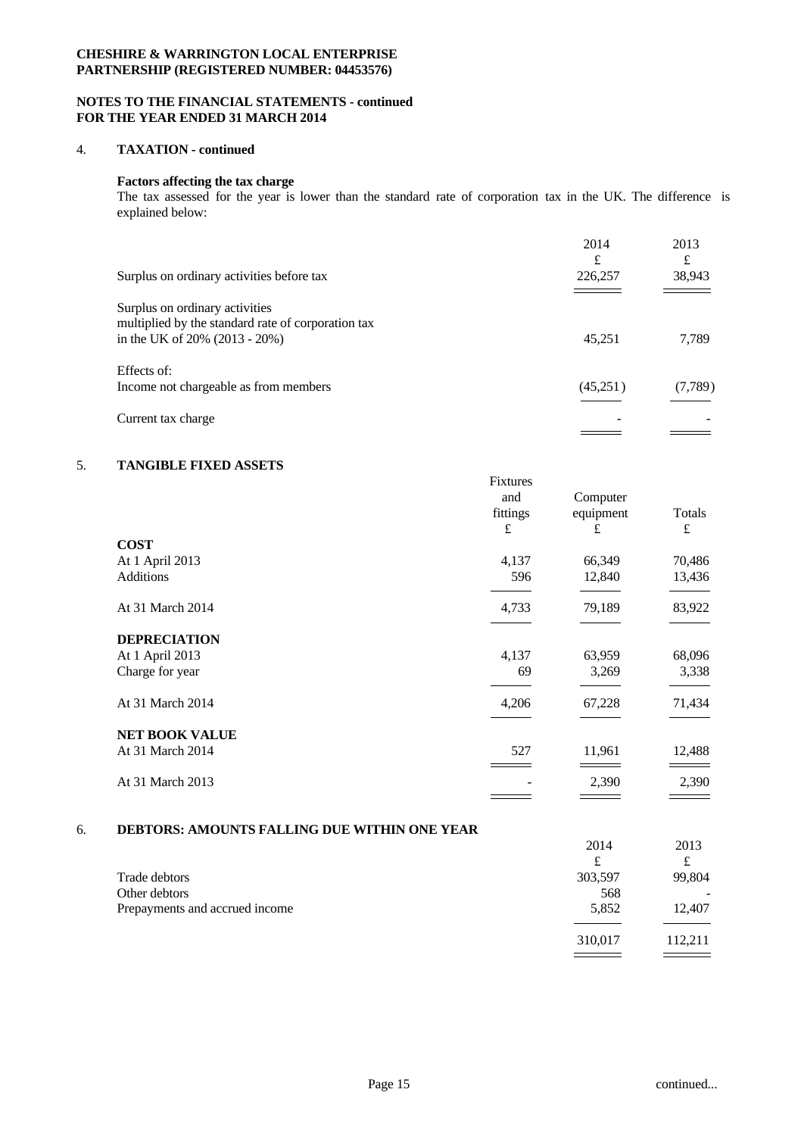## **NOTES TO THE FINANCIAL STATEMENTS - continued FOR THE YEAR ENDED 31 MARCH 2014**

## 4. **TAXATION - continued**

### **Factors affecting the tax charge**

The tax assessed for the year is lower than the standard rate of corporation tax in the UK. The difference is explained below:

| Surplus on ordinary activities before tax                                                                             | 2014<br>£<br>226,257 | 2013<br>£<br>38,943 |  |
|-----------------------------------------------------------------------------------------------------------------------|----------------------|---------------------|--|
| Surplus on ordinary activities<br>multiplied by the standard rate of corporation tax<br>in the UK of 20% (2013 - 20%) | 45,251               | 7,789               |  |
| Effects of:<br>Income not chargeable as from members                                                                  | (45,251)             | (7,789)             |  |
| Current tax charge                                                                                                    |                      |                     |  |

# 5. **TANGIBLE FIXED ASSETS**

|                       | Fixtures |           |        |  |
|-----------------------|----------|-----------|--------|--|
|                       | and      | Computer  |        |  |
|                       | fittings | equipment | Totals |  |
|                       | £        | £         | £      |  |
| <b>COST</b>           |          |           |        |  |
| At 1 April 2013       | 4,137    | 66,349    | 70,486 |  |
| Additions             | 596      | 12,840    | 13,436 |  |
|                       |          |           |        |  |
| At 31 March 2014      | 4,733    | 79,189    | 83,922 |  |
|                       |          |           |        |  |
| <b>DEPRECIATION</b>   |          |           |        |  |
| At 1 April 2013       | 4,137    | 63,959    | 68,096 |  |
| Charge for year       | 69       | 3,269     | 3,338  |  |
|                       |          |           |        |  |
| At 31 March 2014      | 4,206    | 67,228    | 71,434 |  |
|                       |          |           |        |  |
| <b>NET BOOK VALUE</b> |          |           |        |  |
| At 31 March 2014      | 527      | 11,961    | 12,488 |  |
|                       |          |           |        |  |
| At 31 March 2013      |          | 2,390     | 2,390  |  |
|                       |          |           |        |  |

# 6. **DEBTORS: AMOUNTS FALLING DUE WITHIN ONE YEAR**

|                                | 2014    | 2013                     |  |
|--------------------------------|---------|--------------------------|--|
|                                | £<br>∼  | ىم                       |  |
| Trade debtors                  | 303,597 | 99,804                   |  |
| Other debtors                  | 568     | $\overline{\phantom{0}}$ |  |
| Prepayments and accrued income | 5,852   | 12,407                   |  |
|                                |         |                          |  |
|                                | 310,017 | 112,211                  |  |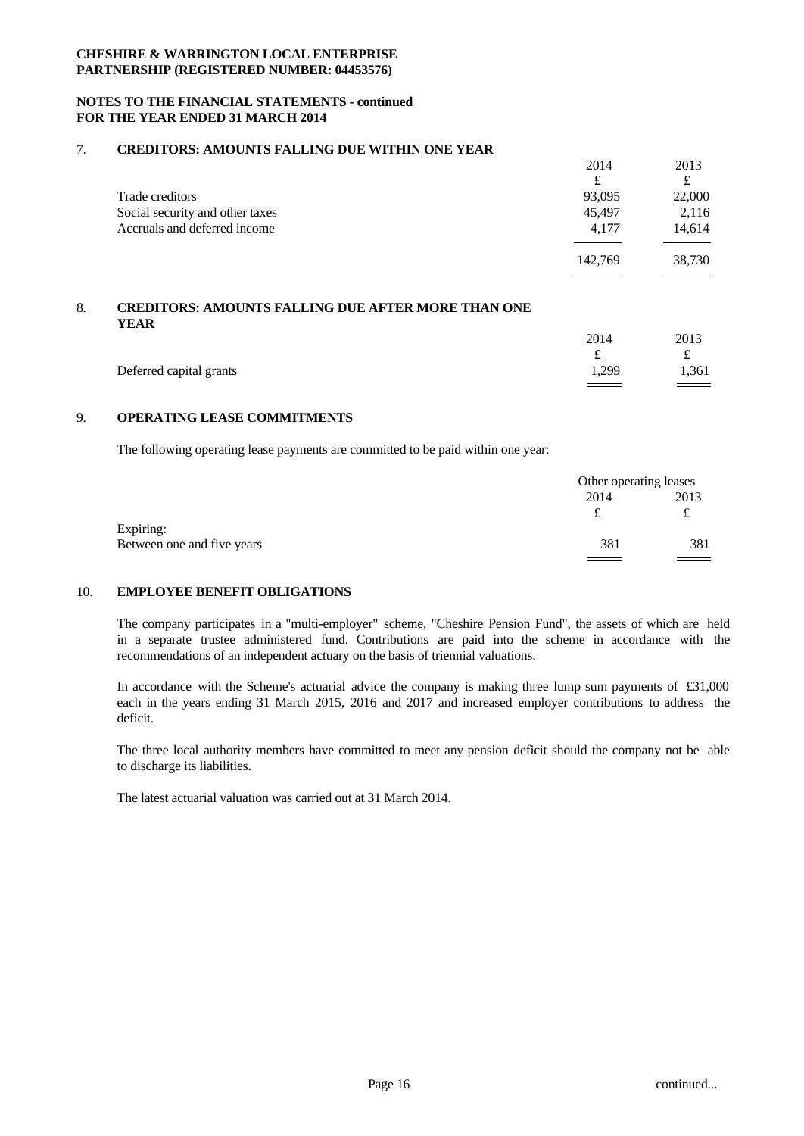### **NOTES TO THE FINANCIAL STATEMENTS - continued FOR THE YEAR ENDED 31 MARCH 2014**

### 7. **CREDITORS: AMOUNTS FALLING DUE WITHIN ONE YEAR**

|              | 2013   |
|--------------|--------|
| $\mathbf{f}$ | £      |
| 93,095       | 22,000 |
| 45,497       | 2,116  |
| 4,177        | 14,614 |
|              |        |
| 142,769      | 38,730 |
|              | 2014   |

# 8. **CREDITORS: AMOUNTS FALLING DUE AFTER MORE THAN ONE YEAR**

|                         | 2014  | 2013                     |
|-------------------------|-------|--------------------------|
|                         |       | $\epsilon$<br>$\tilde{}$ |
| Deferred capital grants | 1,299 | 1,361                    |
|                         | $=$   |                          |

# 9. **OPERATING LEASE COMMITMENTS**

The following operating lease payments are committed to be paid within one year:

|                            |         | Other operating leases |  |
|----------------------------|---------|------------------------|--|
|                            | 2014    | 2013                   |  |
|                            | ₽<br>ىم |                        |  |
| Expiring:                  |         |                        |  |
| Between one and five years | 381     | 381                    |  |
|                            |         |                        |  |

# 10. **EMPLOYEE BENEFIT OBLIGATIONS**

The company participates in a "multi-employer" scheme, "Cheshire Pension Fund", the assets of which are held in a separate trustee administered fund. Contributions are paid into the scheme in accordance with the recommendations of an independent actuary on the basis of triennial valuations.

In accordance with the Scheme's actuarial advice the company is making three lump sum payments of £31,000 each in the years ending 31 March 2015, 2016 and 2017 and increased employer contributions to address the deficit.

The three local authority members have committed to meet any pension deficit should the company not be able to discharge its liabilities.

The latest actuarial valuation was carried out at 31 March 2014.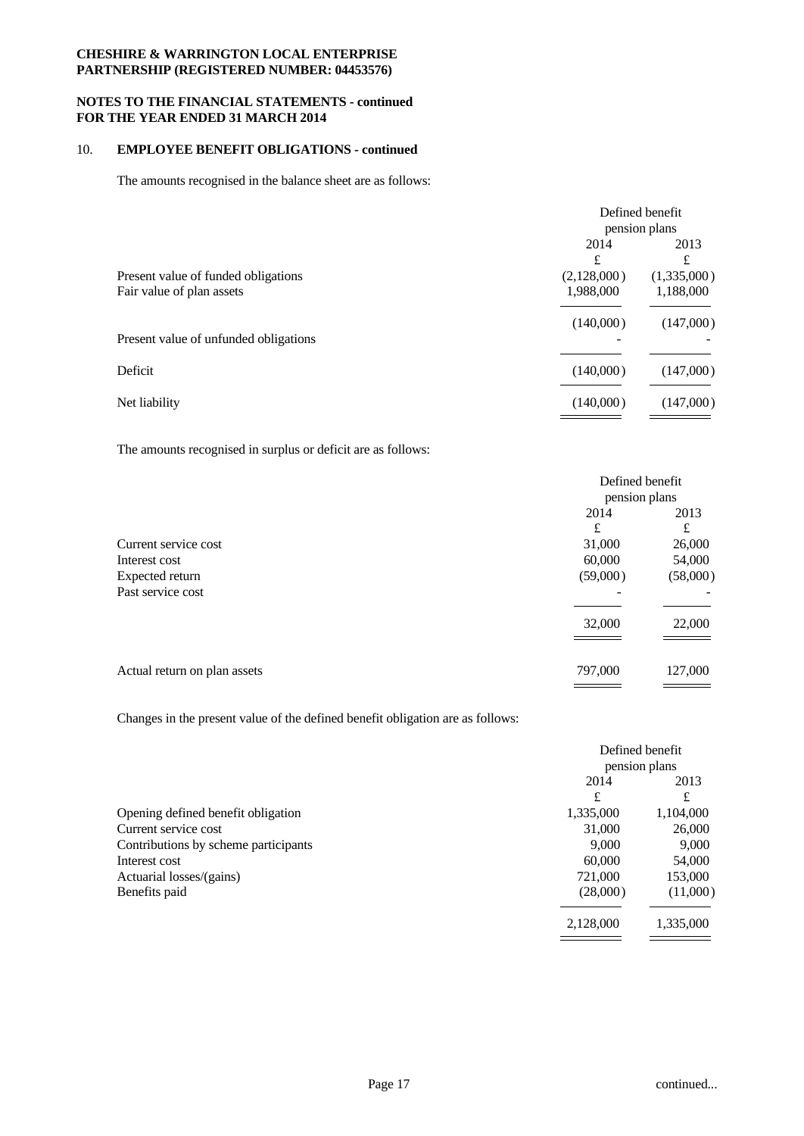### **NOTES TO THE FINANCIAL STATEMENTS - continued FOR THE YEAR ENDED 31 MARCH 2014**

## 10. **EMPLOYEE BENEFIT OBLIGATIONS - continued**

The amounts recognised in the balance sheet are as follows:

|                                       | Defined benefit |               |
|---------------------------------------|-----------------|---------------|
|                                       |                 | pension plans |
|                                       | 2014            | 2013          |
|                                       | £               | £             |
| Present value of funded obligations   | (2,128,000)     | (1,335,000)   |
| Fair value of plan assets             | 1,988,000       | 1,188,000     |
|                                       | (140,000)       | (147,000)     |
| Present value of unfunded obligations |                 |               |
| Deficit                               | (140,000)       | (147,000)     |
| Net liability                         | (140,000)       | (147,000)     |
|                                       |                 |               |

The amounts recognised in surplus or deficit are as follows:

|                              | Defined benefit |          |  |
|------------------------------|-----------------|----------|--|
|                              | pension plans   |          |  |
|                              | 2014            | 2013     |  |
|                              | £               | £        |  |
| Current service cost         | 31,000          | 26,000   |  |
| Interest cost                | 60,000          | 54,000   |  |
| Expected return              | (59,000)        | (58,000) |  |
| Past service cost            |                 |          |  |
|                              | 32,000          | 22,000   |  |
|                              |                 |          |  |
| Actual return on plan assets | 797,000         | 127,000  |  |
|                              |                 |          |  |

Changes in the present value of the defined benefit obligation are as follows:

|                                      |           | Defined benefit |
|--------------------------------------|-----------|-----------------|
|                                      |           | pension plans   |
|                                      | 2014      | 2013            |
|                                      | £         | £               |
| Opening defined benefit obligation   | 1,335,000 | 1,104,000       |
| Current service cost                 | 31,000    | 26,000          |
| Contributions by scheme participants | 9.000     | 9,000           |
| Interest cost                        | 60,000    | 54,000          |
| Actuarial losses/(gains)             | 721,000   | 153,000         |
| Benefits paid                        | (28,000)  | (11,000)        |
|                                      | 2,128,000 | 1,335,000       |
|                                      |           |                 |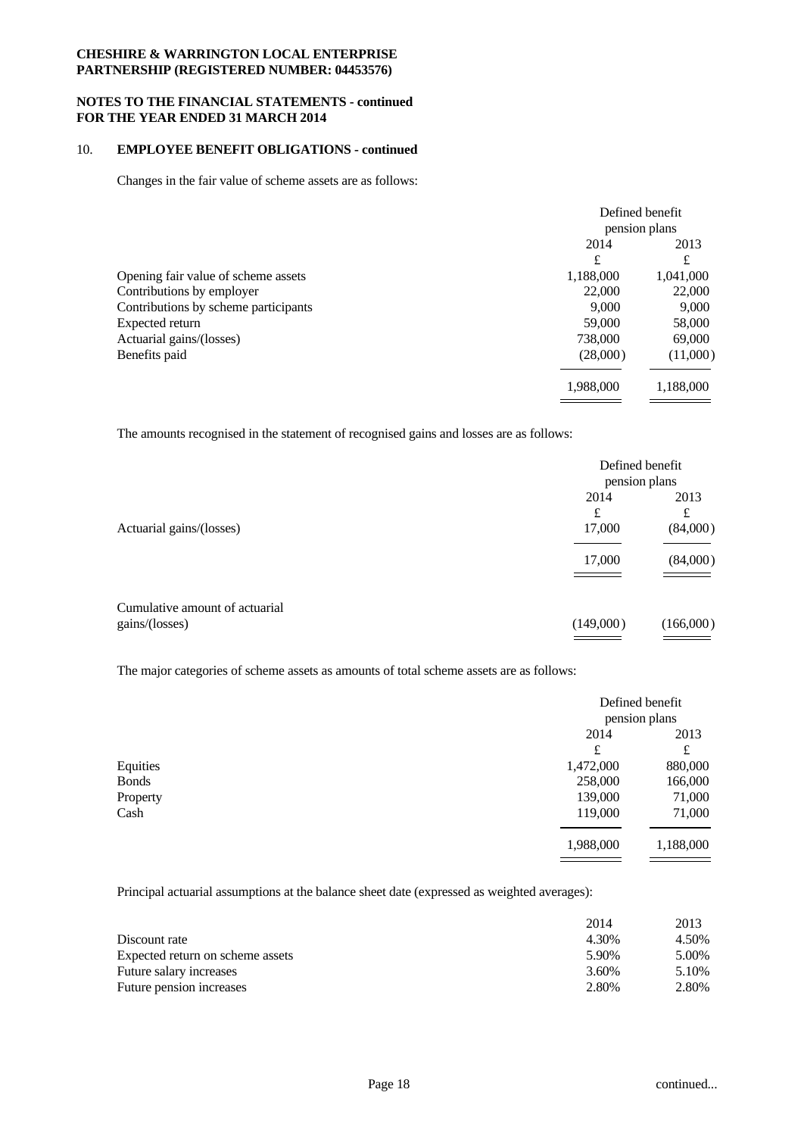### **NOTES TO THE FINANCIAL STATEMENTS - continued FOR THE YEAR ENDED 31 MARCH 2014**

# 10. **EMPLOYEE BENEFIT OBLIGATIONS - continued**

Changes in the fair value of scheme assets are as follows:

|                                      | Defined benefit |               |
|--------------------------------------|-----------------|---------------|
|                                      |                 | pension plans |
|                                      | 2014            | 2013          |
|                                      | £               | £             |
| Opening fair value of scheme assets  | 1,188,000       | 1,041,000     |
| Contributions by employer            | 22,000          | 22,000        |
| Contributions by scheme participants | 9,000           | 9,000         |
| Expected return                      | 59,000          | 58,000        |
| Actuarial gains/(losses)             | 738,000         | 69,000        |
| Benefits paid                        | (28,000)        | (11,000)      |
|                                      | 1,988,000       | 1,188,000     |
|                                      |                 |               |

The amounts recognised in the statement of recognised gains and losses are as follows:

|                                | Defined benefit<br>pension plans |                      |
|--------------------------------|----------------------------------|----------------------|
|                                | 2014<br>£                        | 2013<br>£            |
| Actuarial gains/(losses)       | 17,000<br>17,000                 | (84,000)<br>(84,000) |
| Cumulative amount of actuarial |                                  |                      |
| gains/(losses)                 | (149,000)                        | (166,000)            |

The major categories of scheme assets as amounts of total scheme assets are as follows:

|              |           | Defined benefit |  |
|--------------|-----------|-----------------|--|
|              |           | pension plans   |  |
|              | 2014      | 2013            |  |
|              | £         | £               |  |
| Equities     | 1,472,000 | 880,000         |  |
| <b>Bonds</b> | 258,000   | 166,000         |  |
| Property     | 139,000   | 71,000          |  |
| Cash         | 119,000   | 71,000          |  |
|              | 1,988,000 | 1,188,000       |  |
|              |           |                 |  |

Principal actuarial assumptions at the balance sheet date (expressed as weighted averages):

|                                  | 2014  | 2013  |
|----------------------------------|-------|-------|
| Discount rate                    | 4.30% | 4.50% |
| Expected return on scheme assets | 5.90% | 5.00% |
| Future salary increases          | 3.60% | 5.10% |
| Future pension increases         | 2.80% | 2.80% |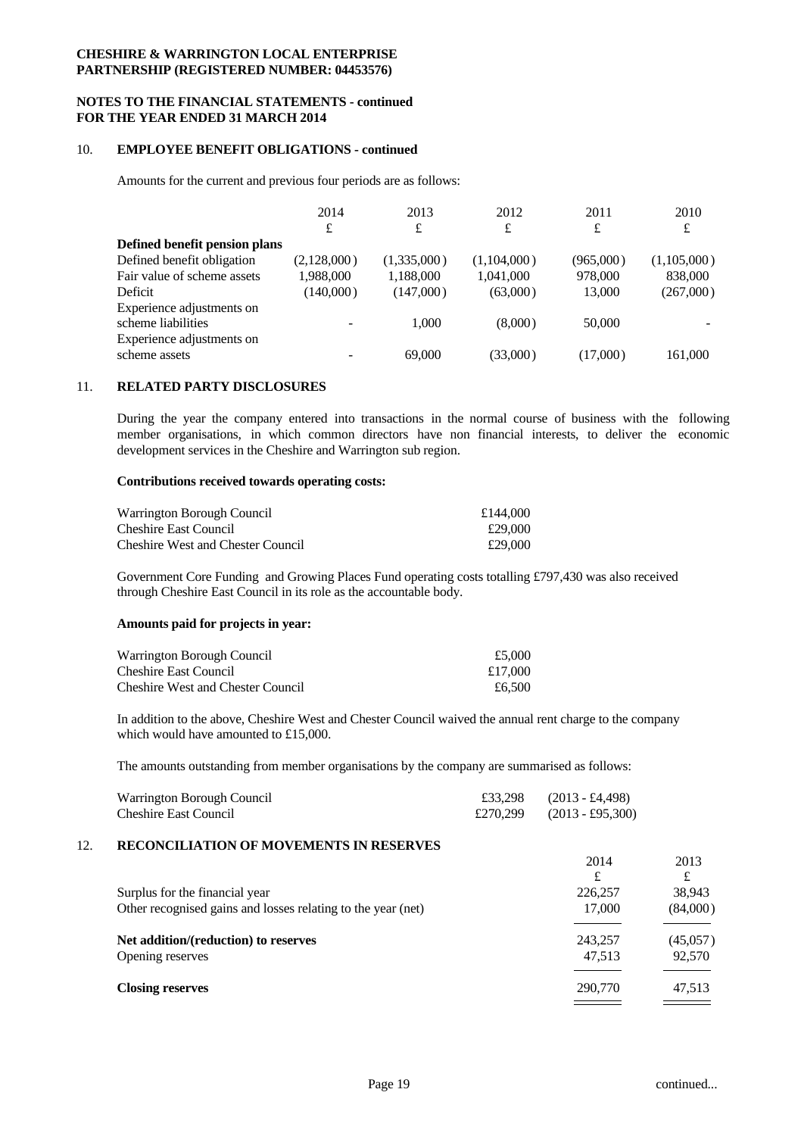### **NOTES TO THE FINANCIAL STATEMENTS - continued FOR THE YEAR ENDED 31 MARCH 2014**

### 10. **EMPLOYEE BENEFIT OBLIGATIONS - continued**

Amounts for the current and previous four periods are as follows:

|                                                                              | 2014                     | 2013        | 2012        | 2011      | 2010        |
|------------------------------------------------------------------------------|--------------------------|-------------|-------------|-----------|-------------|
|                                                                              | £                        | £           | £           | £         | £           |
| Defined benefit pension plans                                                |                          |             |             |           |             |
| Defined benefit obligation                                                   | (2,128,000)              | (1,335,000) | (1,104,000) | (965,000) | (1,105,000) |
| Fair value of scheme assets                                                  | 1,988,000                | 1,188,000   | 1,041,000   | 978,000   | 838,000     |
| Deficit                                                                      | (140,000)                | (147,000)   | (63,000)    | 13,000    | (267,000)   |
| Experience adjustments on<br>scheme liabilities<br>Experience adjustments on | $\overline{\phantom{0}}$ | 1.000       | (8,000)     | 50,000    |             |
| scheme assets                                                                | $\overline{\phantom{0}}$ | 69,000      | (33,000)    | (17,000)  | 161,000     |

### 11. **RELATED PARTY DISCLOSURES**

During the year the company entered into transactions in the normal course of business with the following member organisations, in which common directors have non financial interests, to deliver the economic development services in the Cheshire and Warrington sub region.

### **Contributions received towards operating costs:**

| Warrington Borough Council               | £144,000 |  |
|------------------------------------------|----------|--|
| Cheshire East Council                    | £29,000  |  |
| <b>Cheshire West and Chester Council</b> | £29,000  |  |

Government Core Funding and Growing Places Fund operating costs totalling £797,430 was also received through Cheshire East Council in its role as the accountable body.

#### **Amounts paid for projects in year:**

| Warrington Borough Council               | £5,000  |  |
|------------------------------------------|---------|--|
| <b>Cheshire East Council</b>             | £17.000 |  |
| <b>Cheshire West and Chester Council</b> | £6.500  |  |

In addition to the above, Cheshire West and Chester Council waived the annual rent charge to the company which would have amounted to £15,000.

The amounts outstanding from member organisations by the company are summarised as follows:

| Warrington Borough Council   | £33,298 $(2013 - \text{\pounds}4,498)$   |
|------------------------------|------------------------------------------|
| <b>Cheshire East Council</b> | £270,299 $(2013 - \text{\pounds}95,300)$ |

#### 12. **RECONCILIATION OF MOVEMENTS IN RESERVES**

|                                                              | 2014    | 2013     |  |
|--------------------------------------------------------------|---------|----------|--|
|                                                              | £       | £        |  |
| Surplus for the financial year                               | 226,257 | 38,943   |  |
| Other recognised gains and losses relating to the year (net) | 17,000  | (84,000) |  |
|                                                              |         |          |  |
| Net addition/(reduction) to reserves                         | 243,257 | (45,057) |  |
| Opening reserves                                             | 47,513  | 92,570   |  |
|                                                              |         |          |  |
| <b>Closing reserves</b>                                      | 290,770 | 47,513   |  |
|                                                              |         |          |  |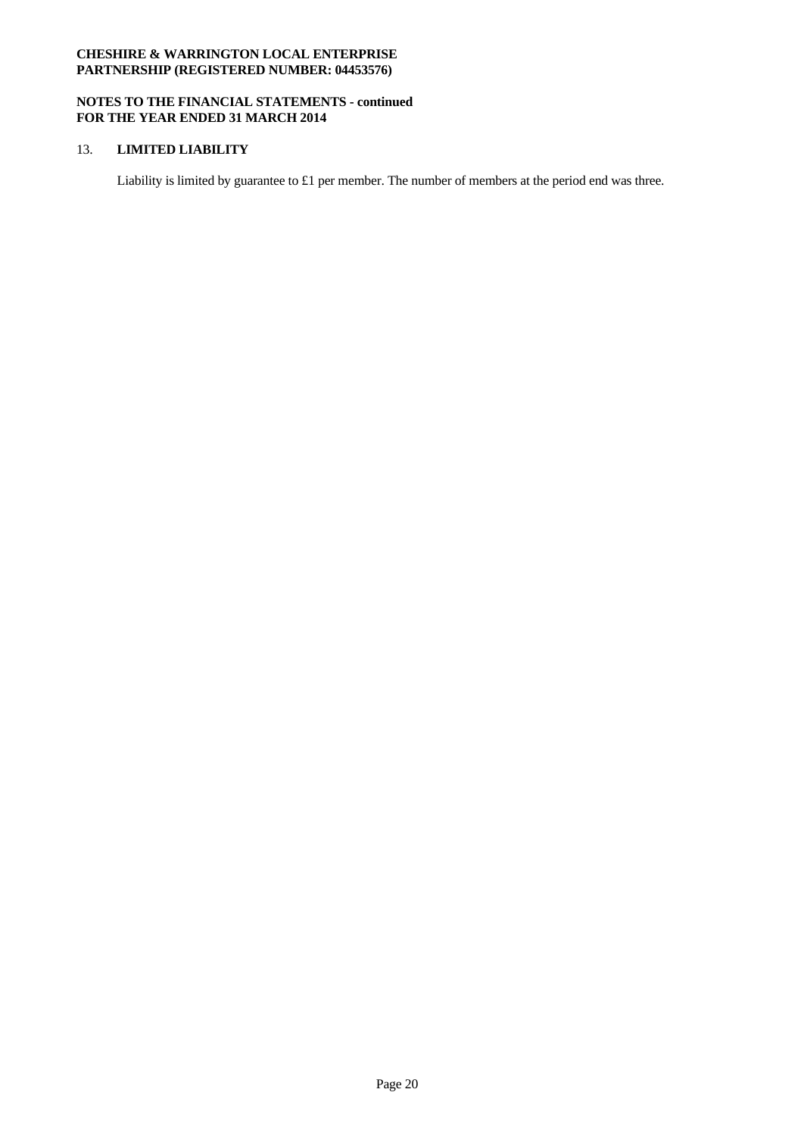## **NOTES TO THE FINANCIAL STATEMENTS - continued FOR THE YEAR ENDED 31 MARCH 2014**

## 13. **LIMITED LIABILITY**

Liability is limited by guarantee to £1 per member. The number of members at the period end was three.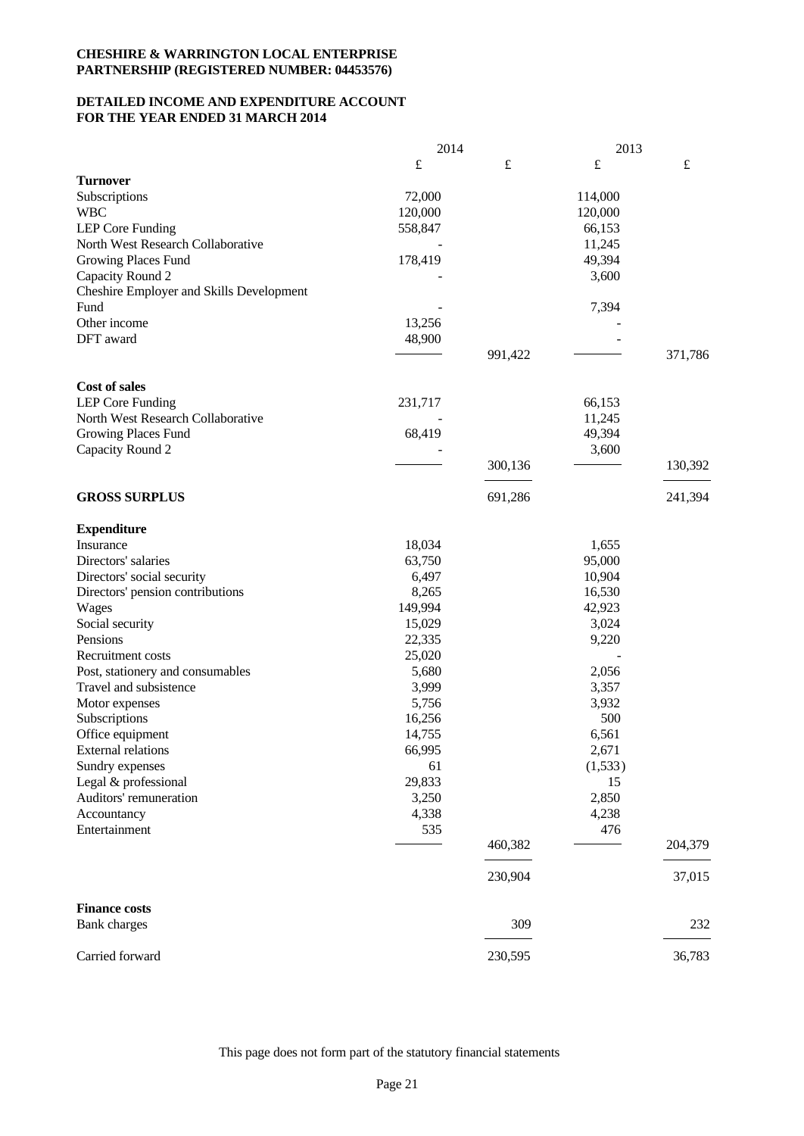# **DETAILED INCOME AND EXPENDITURE ACCOUNT FOR THE YEAR ENDED 31 MARCH 2014**

|                                          | 2014      |           | 2013      |           |
|------------------------------------------|-----------|-----------|-----------|-----------|
|                                          | $\pounds$ | $\pounds$ | $\pounds$ | $\pounds$ |
| <b>Turnover</b>                          |           |           |           |           |
| Subscriptions                            | 72,000    |           | 114,000   |           |
| <b>WBC</b>                               | 120,000   |           | 120,000   |           |
| <b>LEP</b> Core Funding                  | 558,847   |           | 66,153    |           |
| North West Research Collaborative        |           |           | 11,245    |           |
| <b>Growing Places Fund</b>               | 178,419   |           | 49,394    |           |
| Capacity Round 2                         |           |           | 3,600     |           |
| Cheshire Employer and Skills Development |           |           |           |           |
| Fund                                     |           |           | 7,394     |           |
| Other income                             | 13,256    |           |           |           |
| DFT award                                | 48,900    |           |           |           |
|                                          |           | 991,422   |           | 371,786   |
|                                          |           |           |           |           |
| Cost of sales                            |           |           |           |           |
| LEP Core Funding                         | 231,717   |           | 66,153    |           |
| North West Research Collaborative        |           |           | 11,245    |           |
| Growing Places Fund                      | 68,419    |           | 49,394    |           |
| Capacity Round 2                         |           |           | 3,600     |           |
|                                          |           | 300,136   |           | 130,392   |
| <b>GROSS SURPLUS</b>                     |           | 691,286   |           | 241,394   |
|                                          |           |           |           |           |
| <b>Expenditure</b>                       |           |           |           |           |
| Insurance                                | 18,034    |           | 1,655     |           |
| Directors' salaries                      | 63,750    |           | 95,000    |           |
| Directors' social security               | 6,497     |           | 10,904    |           |
| Directors' pension contributions         | 8,265     |           | 16,530    |           |
| Wages                                    | 149,994   |           | 42,923    |           |
| Social security                          | 15,029    |           | 3,024     |           |
| Pensions                                 | 22,335    |           | 9,220     |           |
| Recruitment costs                        | 25,020    |           |           |           |
| Post, stationery and consumables         | 5,680     |           | 2,056     |           |
| Travel and subsistence                   | 3,999     |           | 3,357     |           |
| Motor expenses                           | 5,756     |           | 3,932     |           |
| Subscriptions                            | 16,256    |           | 500       |           |
| Office equipment                         | 14,755    |           | 6,561     |           |
| <b>External relations</b>                | 66,995    |           | 2,671     |           |
| Sundry expenses                          | 61        |           | (1,533)   |           |
| Legal & professional                     | 29,833    |           | 15        |           |
| Auditors' remuneration                   | 3,250     |           | 2,850     |           |
| Accountancy                              | 4,338     |           | 4,238     |           |
| Entertainment                            | 535       |           | 476       |           |
|                                          |           | 460,382   |           | 204,379   |
|                                          |           |           |           |           |
|                                          |           | 230,904   |           | 37,015    |
| <b>Finance costs</b>                     |           |           |           |           |
| <b>Bank</b> charges                      |           | 309       |           | 232       |
| Carried forward                          |           | 230,595   |           | 36,783    |
|                                          |           |           |           |           |